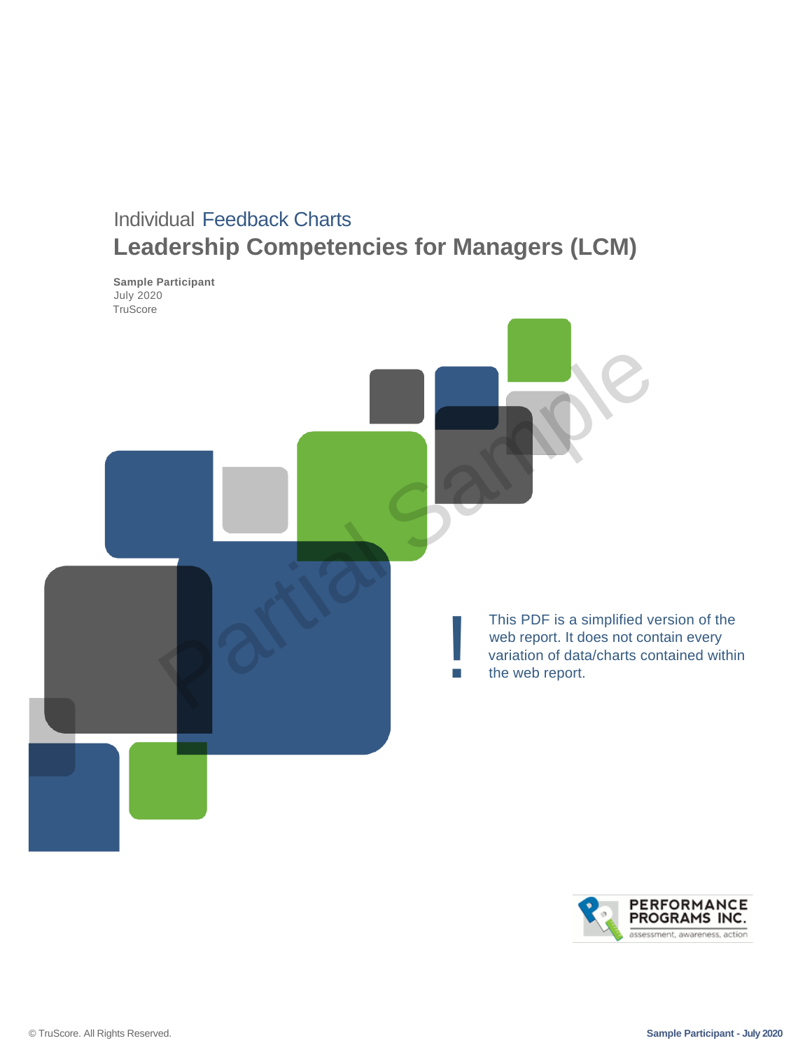# Individual Feedback Charts **Leadership Competencies for Managers (LCM)**

**Sample Participant** July 2020 **TruScore** 



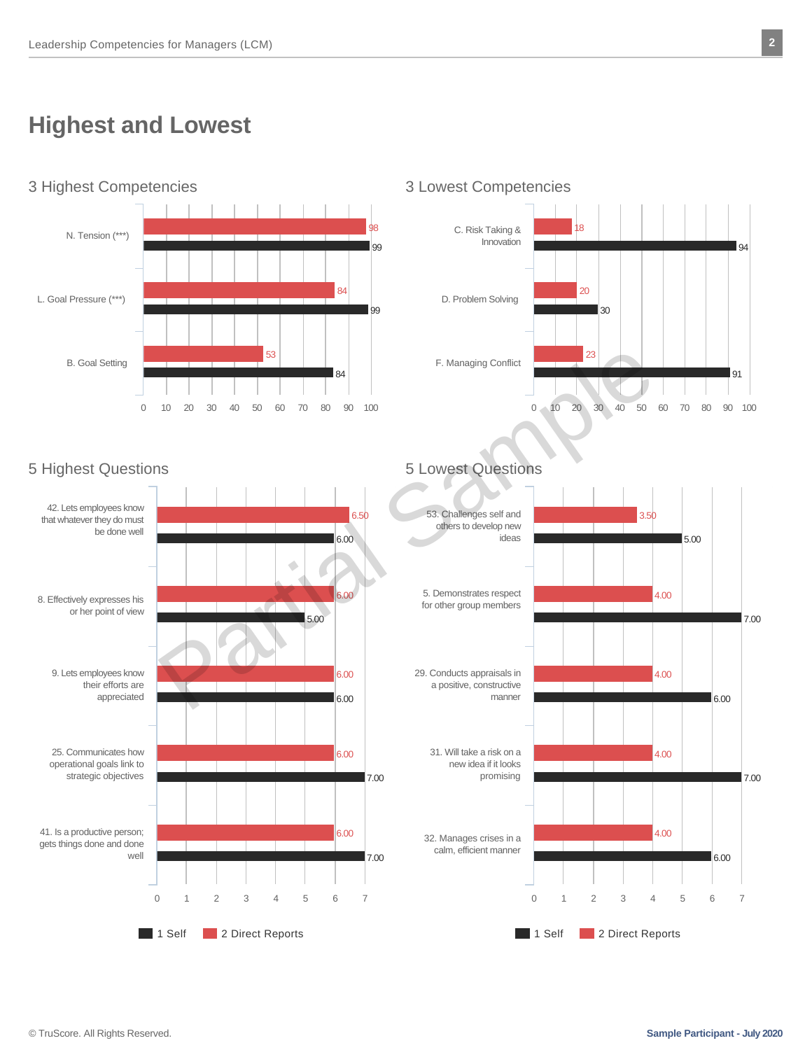# **Highest and Lowest**





### 5 Highest Questions 5 Lowest Questions



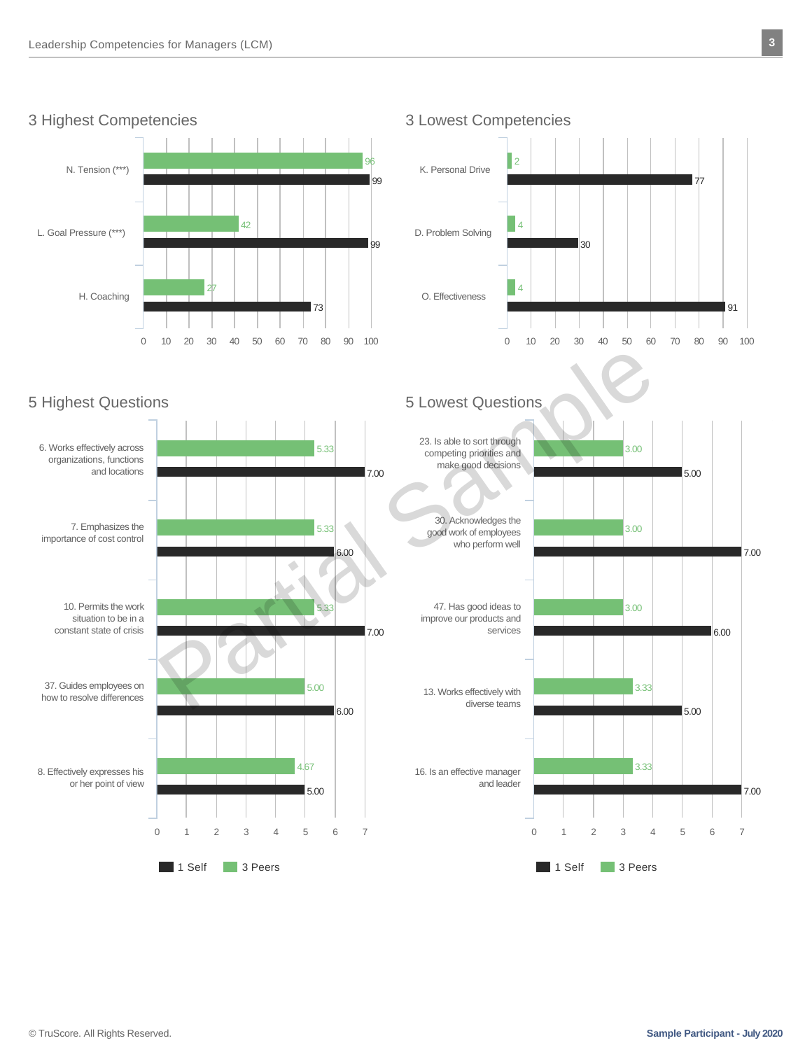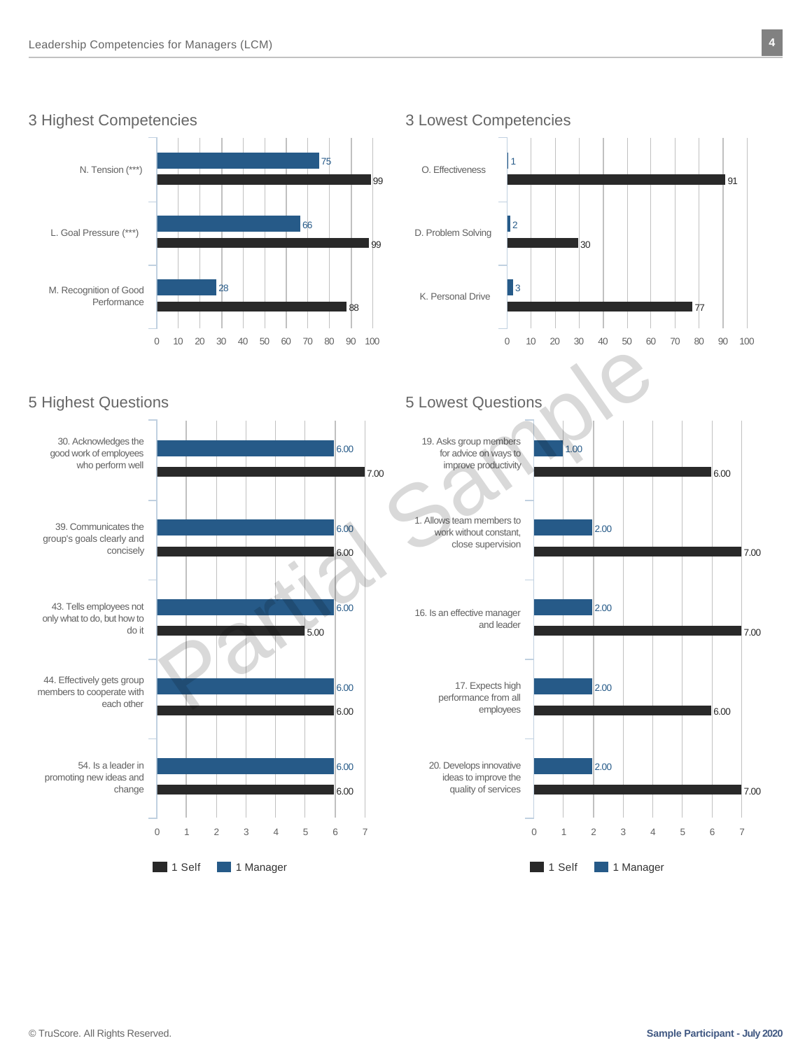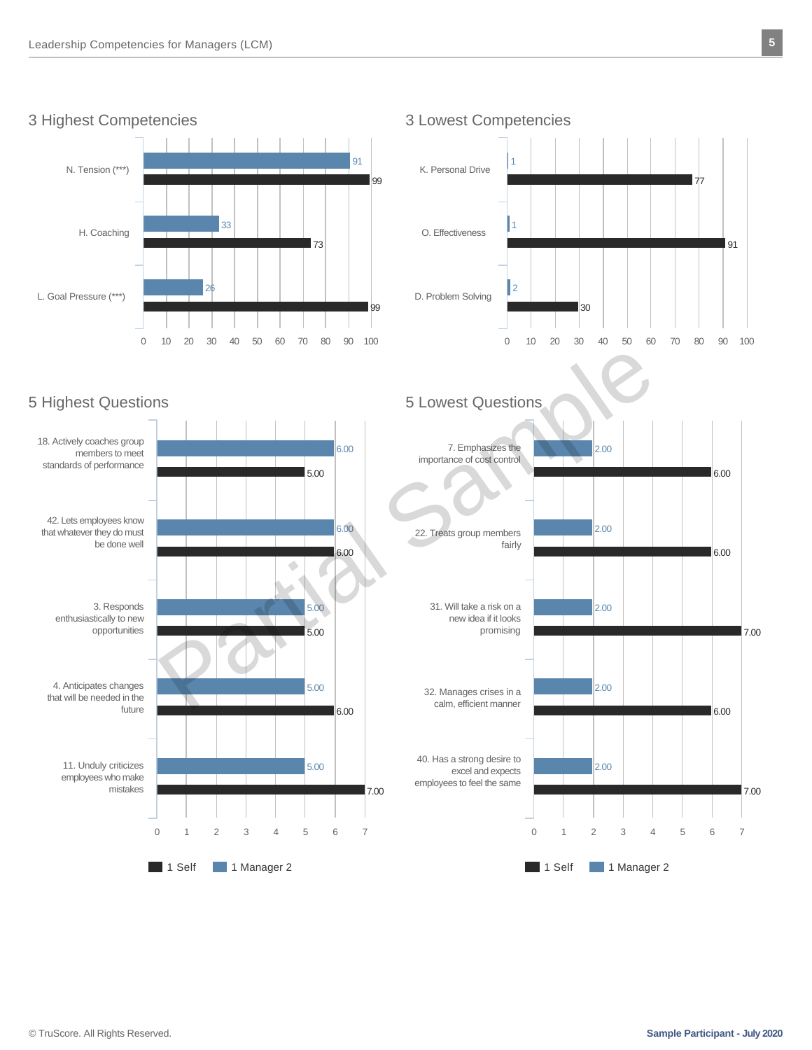







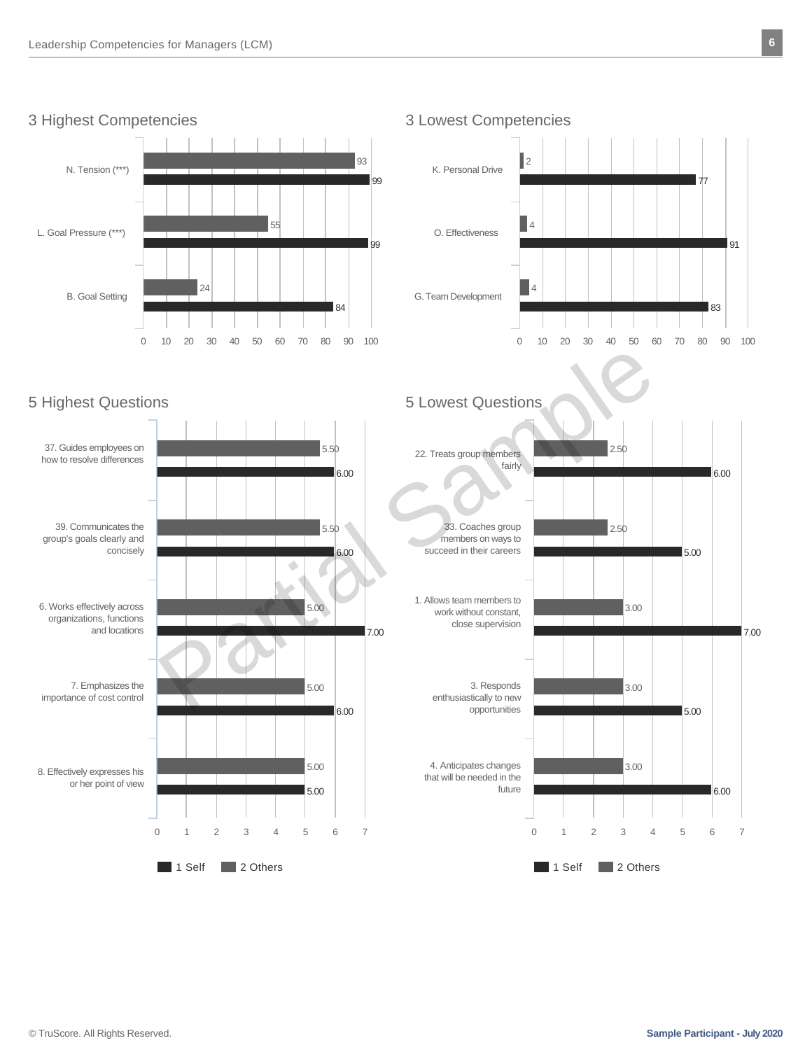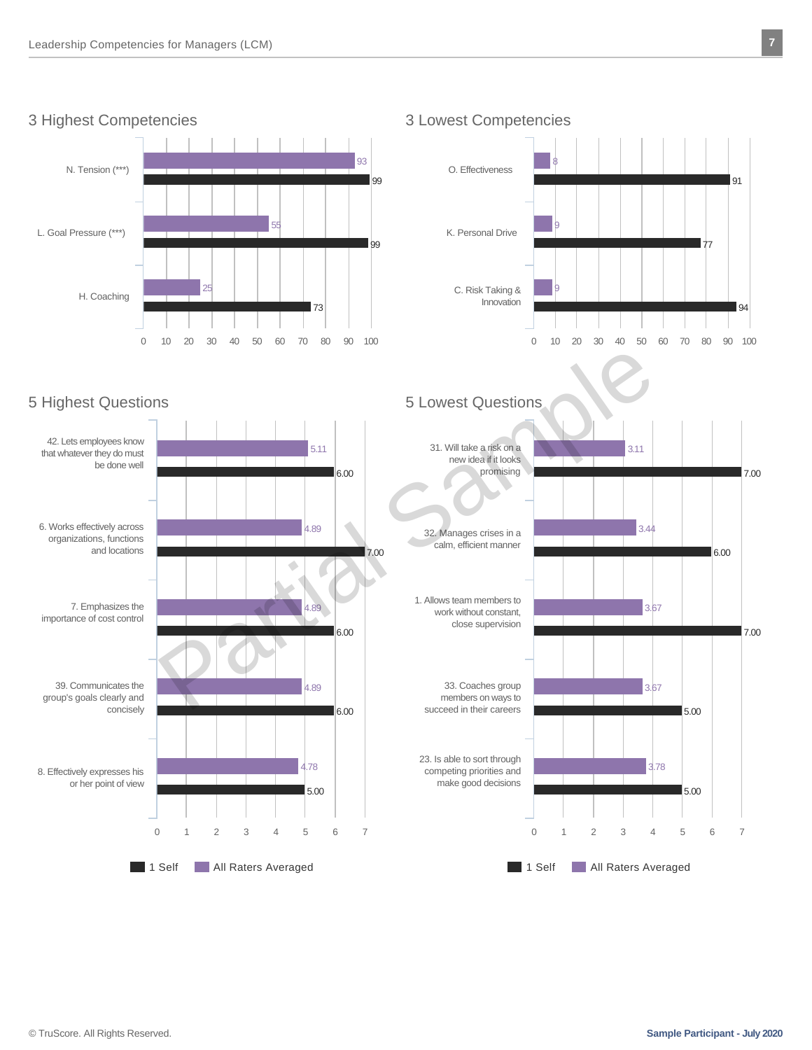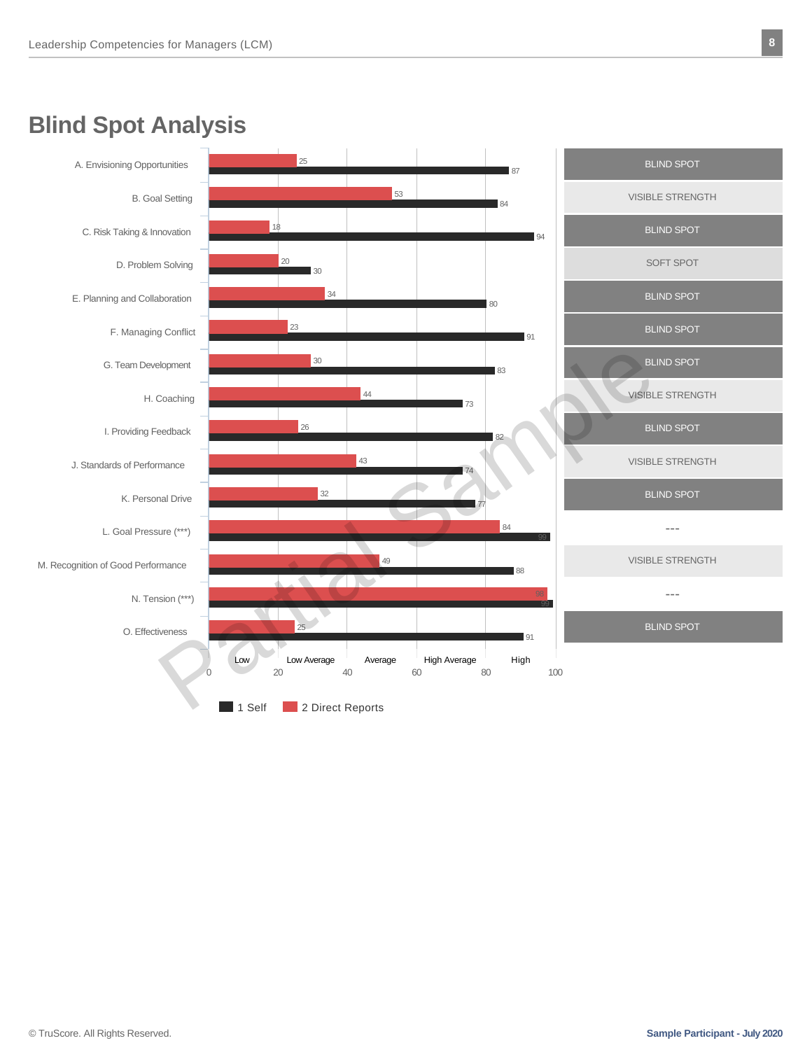# **Blind Spot Analysis**

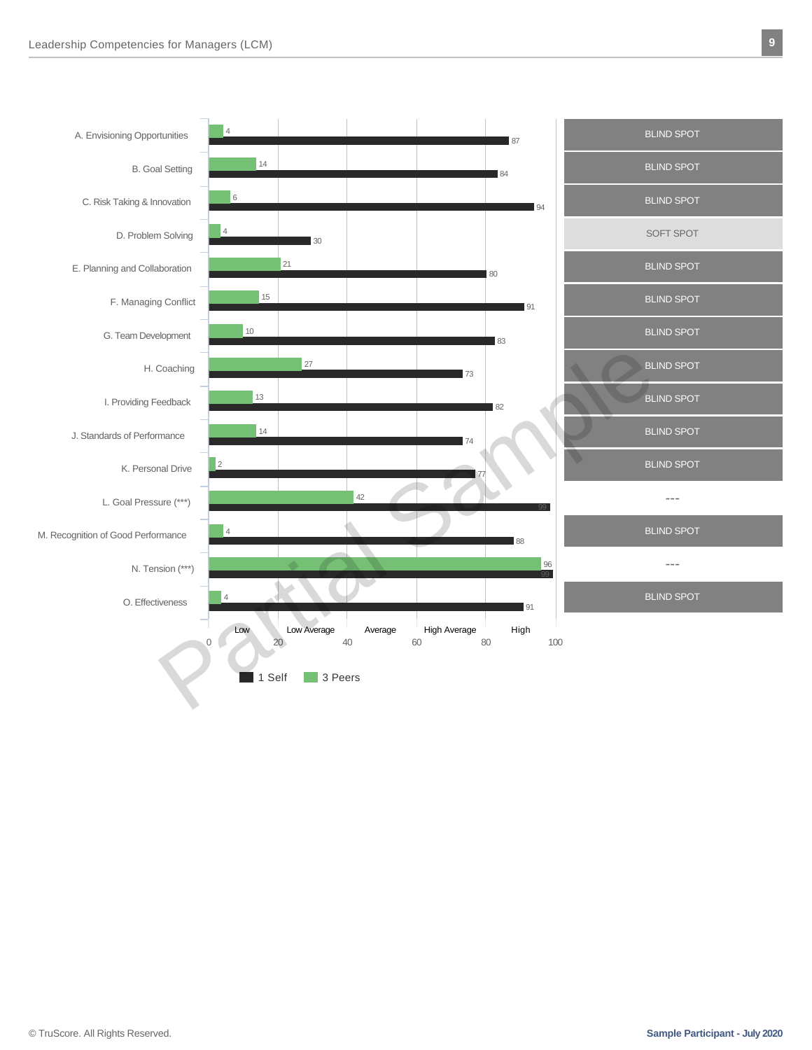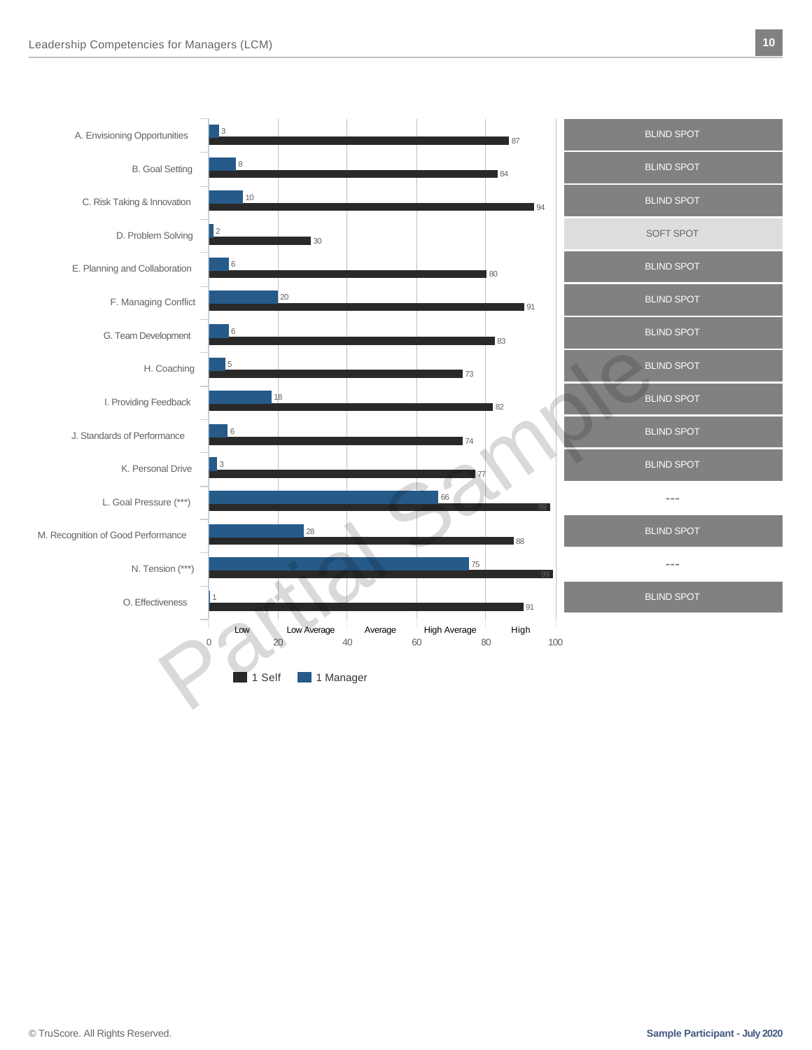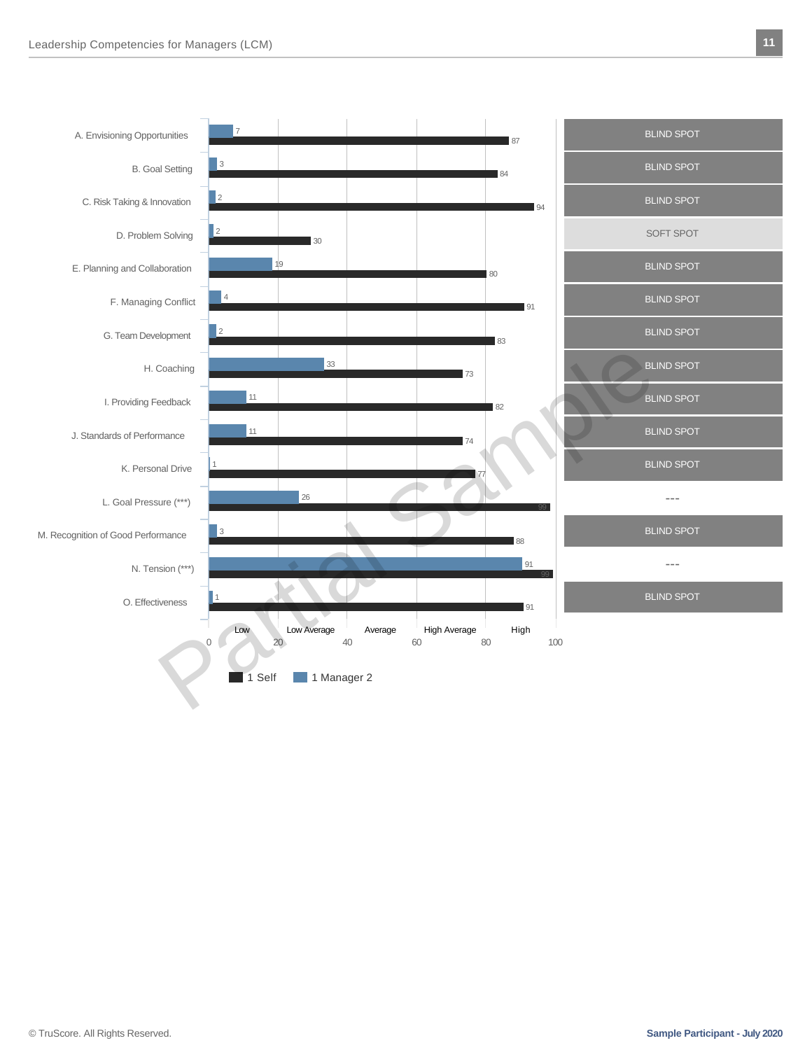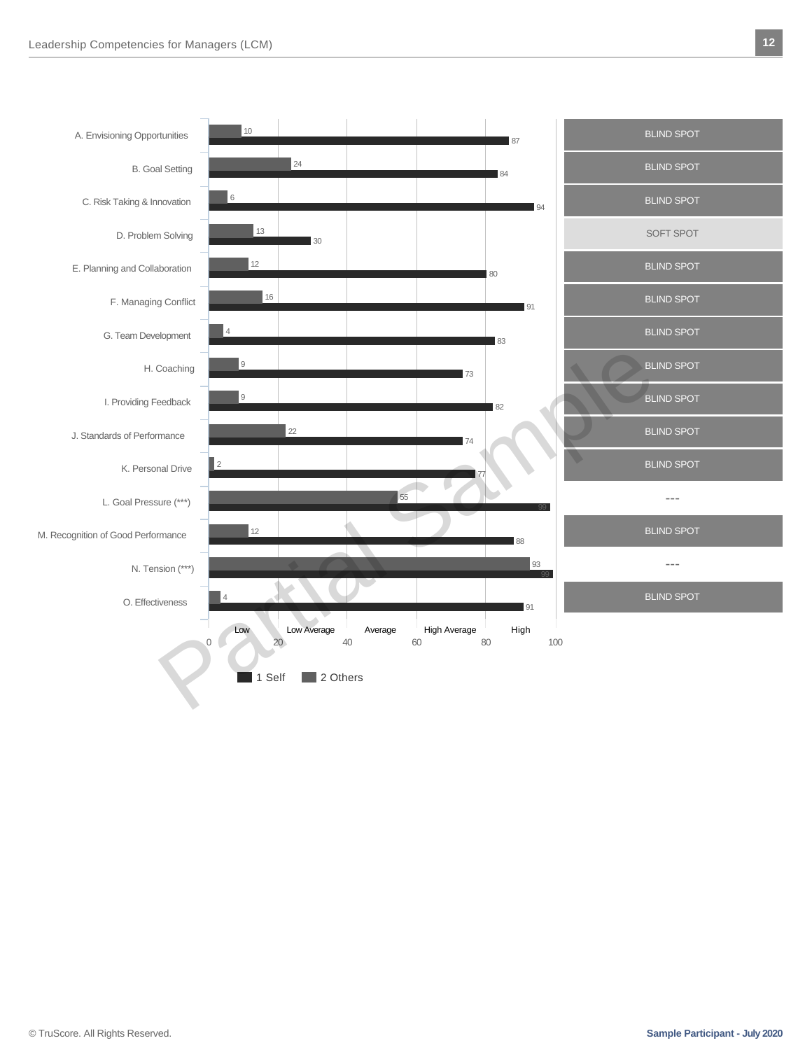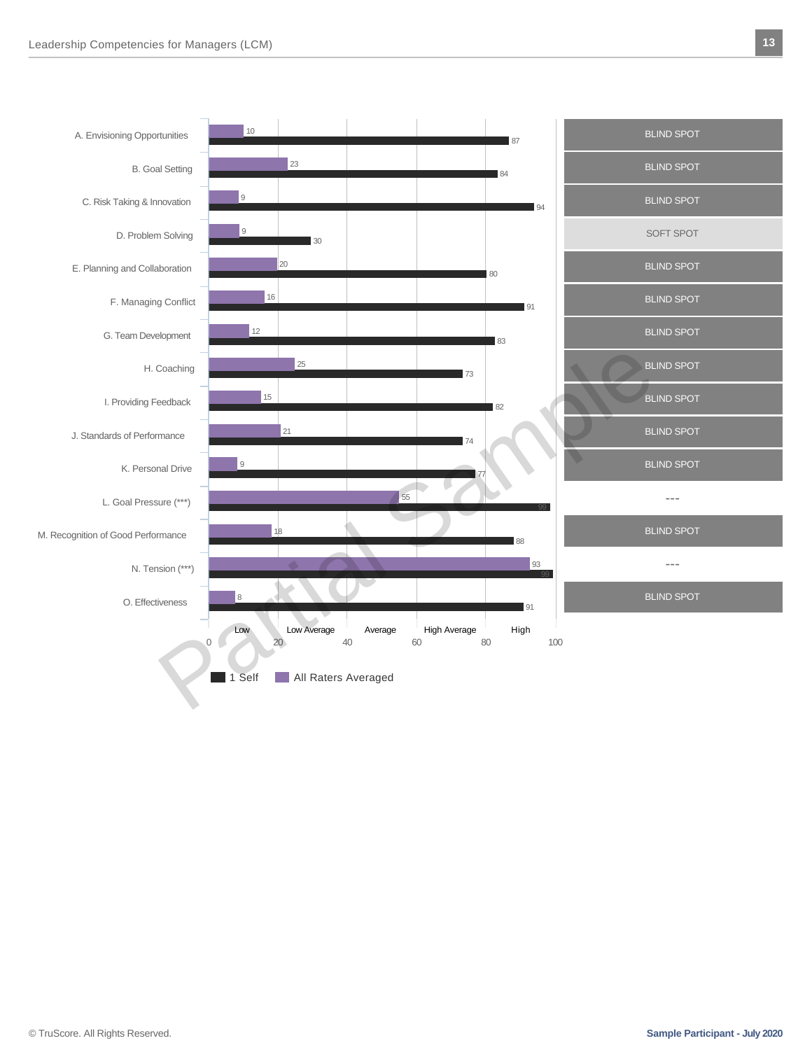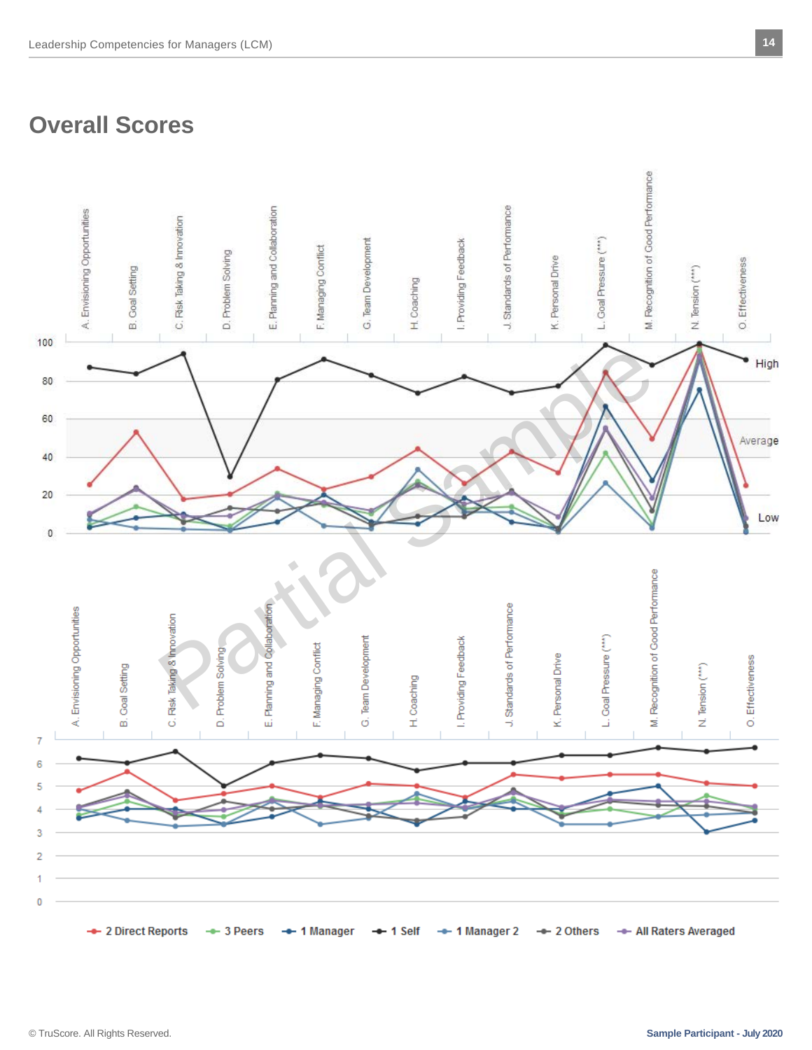# **Overall Scores**

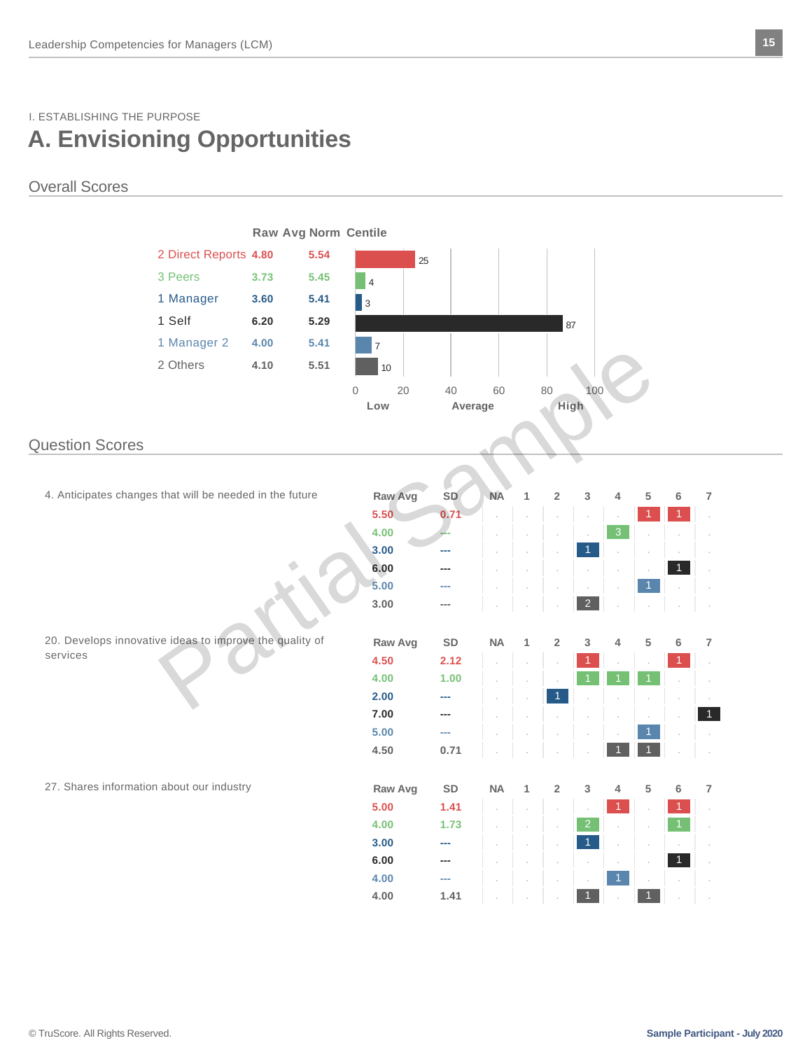### I. ESTABLISHING THE PURPOSE **A. Envisioning Opportunities**

### Overall Scores

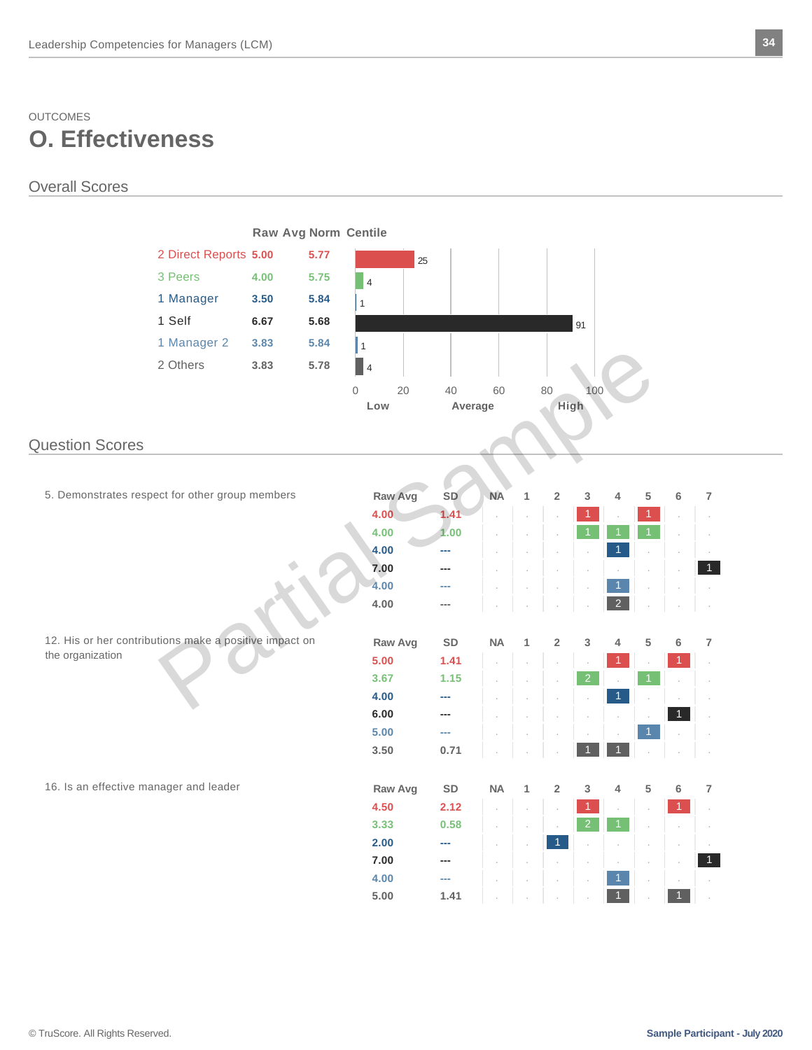## OUTCOMES **O. Effectiveness**

#### Overall Scores

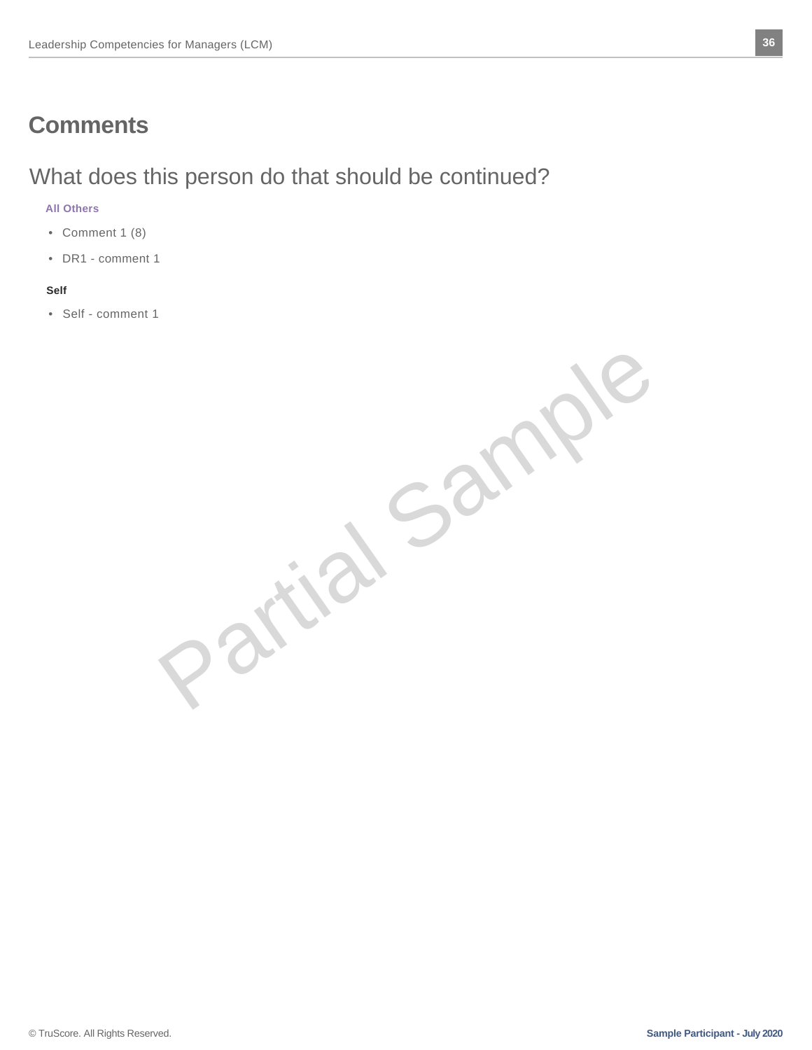# **Comments**

# What does this person do that should be continued?

#### **All Others**

- Comment 1 (8)
- DR1 comment 1

#### **Self**

• Self - comment 1

Partial Sample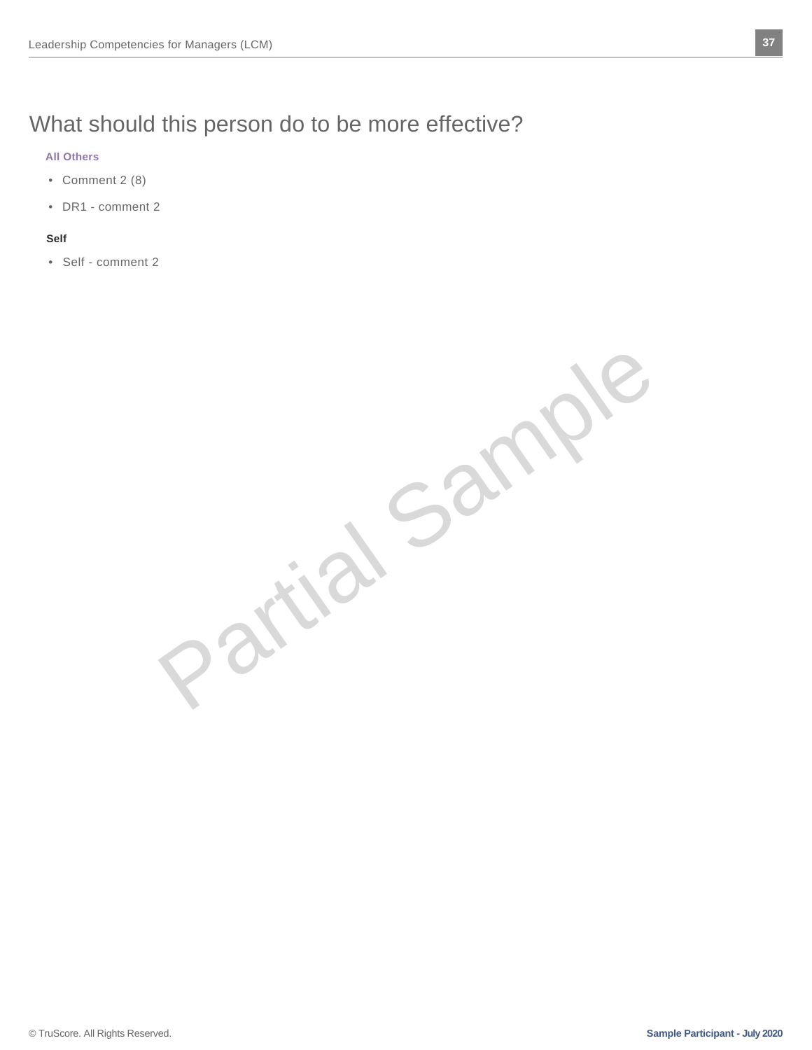# What should this person do to be more effective?

#### **All Others**

- Comment 2 (8)
- DR1 comment 2

#### **Self**

• Self - comment 2

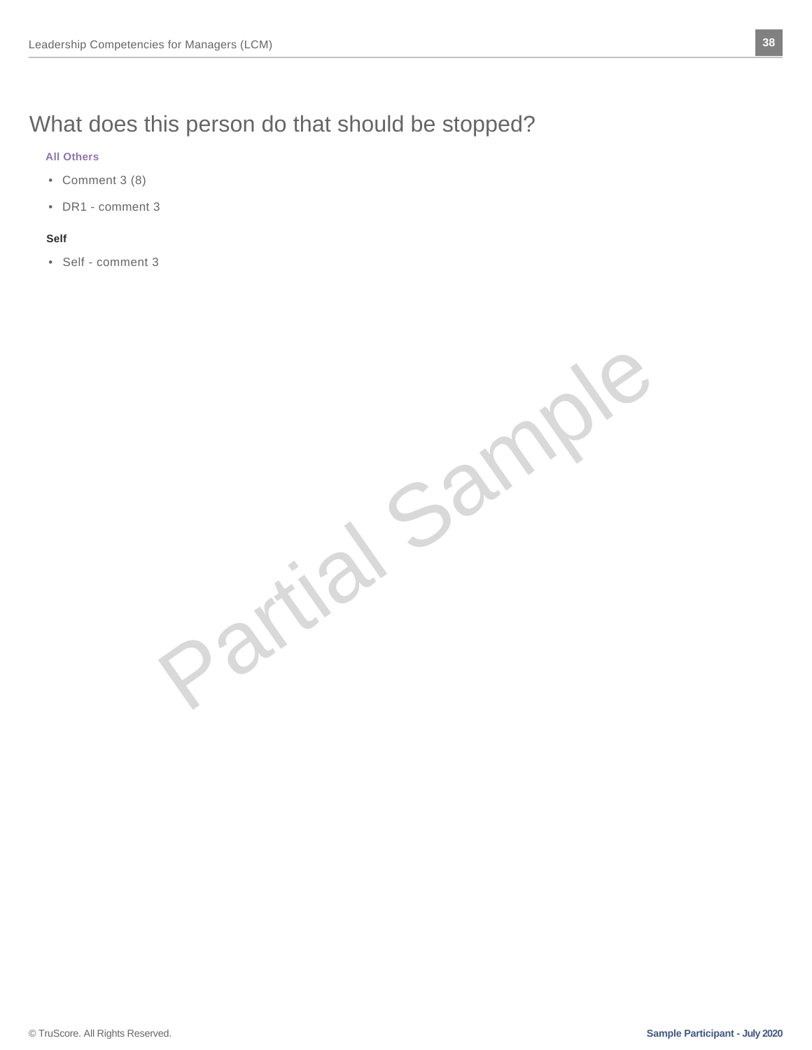# What does this person do that should be stopped?

#### **All Others**

- Comment 3 (8)
- DR1 comment 3

#### **Self**

• Self - comment 3